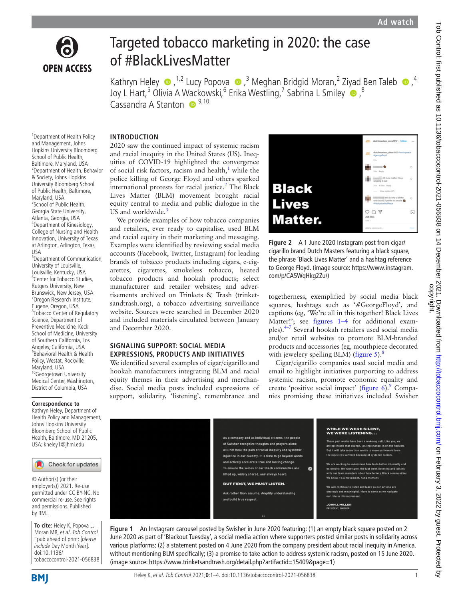

# Targeted tobacco marketing in 2020: the case of #BlackLivesMatter

KathrynHeley  $\bullet$ , <sup>1,2</sup> Lucy Popova  $\bullet$ ,<sup>3</sup> Meghan Bridgid Moran,<sup>2</sup> Ziyad Ben Taleb  $\bullet$ ,<sup>4</sup> Joy L Hart,<sup>5</sup> Olivia A [Wac](http://orcid.org/0000-0001-5329-6261)kowski,<sup>6</sup> Erika Westling,<sup>7</sup> Sabrina L Smiley O,<sup>8</sup> Cassandra A Stanton **D**<sup>9,10</sup>

## **INTRODUCTION**

1 Department of Health Policy and Management, Johns Hopkins University Bloomberg School of Public Health, Baltimore, Maryland, USA 2 Department of Health, Behavior & Society, Johns Hopkins University Bloomberg School of Public Health, Baltimore, Maryland, USA <sup>3</sup>School of Public Health, Georgia State University, Atlanta, Georgia, USA 4 Department of Kinesiology, College of Nursing and Health Innovation, University of Texas at Arlington, Arlington, Texas,  $IIS<sub>\Delta</sub>$ 

5 Department of Communication, University of Louisville, Louisville, Kentucky, USA <sup>6</sup>Center for Tobacco Studies, Rutgers University, New Brunswick, New Jersey, USA 7 Oregon Research Institute, Eugene, Oregon, USA 8 Tobacco Center of Regulatory Science, Department of Preventive Medicine, Keck School of Medicine, University of Southern California, Los Angeles, California, USA 9 Behavioral Health & Health Policy, Westat, Rockville, Maryland, USA 10Georgetown University Medical Center, Washington, District of Columbia, USA

## **Correspondence to**

Kathryn Heley, Department of Health Policy and Management, Johns Hopkins University Bloomberg School of Public Health, Baltimore, MD 21205, USA; kheley1@jhmi.edu



© Author(s) (or their employer(s)) 2021. Re-use permitted under CC BY-NC. No commercial re-use. See rights and permissions. Published by BMJ.

**To cite:** Heley K, Popova L, Moran MB, et al. Tob Control Epub ahead of print: [please include Day Month Year]. doi:10.1136/ tobaccocontrol-2021-056838 2020 saw the continued impact of systemic racism and racial inequity in the United States (US). Inequities of COVID-19 highlighted the convergence of social risk factors, racism and health, $1$  while the police killing of George Floyd and others sparked international protests for racial justice.<sup>2</sup> The Black Lives Matter (BLM) movement brought racial equity central to media and public dialogue in the US and worldwide.<sup>[3](#page-2-2)</sup>

We provide examples of how tobacco companies and retailers, ever ready to capitalise, used BLM and racial equity in their marketing and messaging. Examples were identified by reviewing social media accounts (Facebook, Twitter, Instagram) for leading brands of tobacco products including cigars, e-cigarettes, cigarettes, smokeless tobacco, heated tobacco products and hookah products; select manufacturer and retailer websites; and advertisements archived on Trinkets & Trash (trinketsandtrash.org), a tobacco advertising surveillance website. Sources were searched in December 2020 and included materials circulated between January and December 2020.

## **SIGNALING SUPPORT: SOCIAL MEDIA EXPRESSIONS, PRODUCTS AND INITIATIVES**

We identified several examples of cigar/cigarillo and hookah manufacturers integrating BLM and racial equity themes in their advertising and merchandise. Social media posts included expressions of support, solidarity, 'listening', remembrance and



**Figure 2** A 1 June 2020 Instagram post from cigar/ cigarillo brand Dutch Masters featuring a black square, the phrase 'Black Lives Matter' and a hashtag reference to George Floyd. (image source: [https://www.instagram.](https://www.instagram.com/p/CA5WqHkg2Zu/) [com/p/CA5WqHkg2Zu/\)](https://www.instagram.com/p/CA5WqHkg2Zu/)

togetherness, exemplified by social media black squares, hashtags such as '#GeorgeFloyd', and captions (eg, 'We're all in this together! Black Lives Matter!'; see [figures](#page-0-0) 1–4 for additional examples)[.4–7](#page-2-3) Several hookah retailers used social media and/or retail websites to promote BLM-branded products and accessories (eg, mouthpiece decorated with jewelery spelling BLM) [\(figure](#page-1-0) 5). $8$ 

Cigar/cigarillo companies used social media and email to highlight initiatives purporting to address systemic racism, promote economic equality and create 'positive social impact' ([figure](#page-1-1) 6).<sup>9</sup> Companies promising these initiatives included Swisher



<span id="page-0-0"></span>**Figure 1** An Instagram carousel posted by Swisher in June 2020 featuring: (1) an empty black square posted on 2 June 2020 as part of 'Blackout Tuesday', a social media action where supporters posted similar posts in solidarity across various platforms; (2) a statement posted on 4 June 2020 from the company president about racial inequity in America, without mentioning BLM specifically; (3) a promise to take action to address systemic racism, posted on 15 June 2020. (image source: [https://www.trinketsandtrash.org/detail.php?artifactid=15409&page=1\)](https://www.trinketsandtrash.org/detail.php?artifactid=15409&page=1)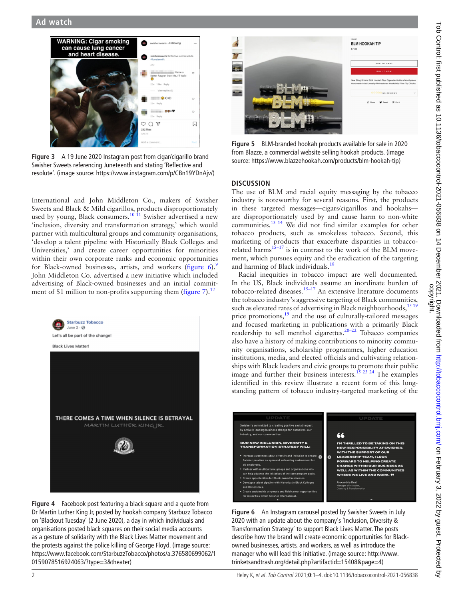

**Figure 3** A 19 June 2020 Instagram post from cigar/cigarillo brand Swisher Sweets referencing Juneteenth and stating 'Reflective and resolute'. (image source: [https://www.instagram.com/p/CBn19YDnAjv/\)](https://www.instagram.com/p/CBn19YDnAjv/)

International and John Middleton Co., makers of Swisher Sweets and Black & Mild cigarillos, products disproportionately used by young, Black consumers.<sup>10 11</sup> Swisher advertised a new 'inclusion, diversity and transformation strategy,' which would partner with multicultural groups and community organisations, 'develop a talent pipeline with Historically Black Colleges and Universities,' and create career opportunities for minorities within their own corporate ranks and economic opportunities for Black-owned businesses, artists, and workers [\(figure](#page-1-1) 6).<sup>[9](#page-2-5)</sup> John Middleton Co. advertised a new initiative which included advertising of Black-owned businesses and an initial commitment of \$1 million to non-profits supporting them ([figure](#page-2-7)  $7$ ).<sup>[12](#page-3-0)</sup>



**Figure 4** Facebook post featuring a black square and a quote from Dr Martin Luther King Jr, posted by hookah company Starbuzz Tobacco on 'Blackout Tuesday' (2 June 2020), a day in which individuals and organisations posted black squares on their social media accounts as a gesture of solidarity with the Black Lives Matter movement and the protests against the police killing of George Floyd. (image source: [https://www.facebook.com/StarbuzzTobacco/photos/a.376580699062/1](https://www.facebook.com/StarbuzzTobacco/photos/a.376580699062/10159078516924063/?type=3&theater) [0159078516924063/?type=3&theater\)](https://www.facebook.com/StarbuzzTobacco/photos/a.376580699062/10159078516924063/?type=3&theater)



**Figure 5** BLM-branded hookah products available for sale in 2020 from Blazze, a commercial website selling hookah products. (image source: [https://www.blazzehookah.com/products/blm-hookah-tip\)](https://www.blazzehookah.com/products/blm-hookah-tip)

## <span id="page-1-0"></span>**DISCUSSION**

The use of BLM and racial equity messaging by the tobacco industry is noteworthy for several reasons. First, the products in these targeted messages—cigars/cigarillos and hookahs are disproportionately used by and cause harm to non-white communities.[13 14](#page-3-1) We did not find similar examples for other tobacco products, such as smokeless tobacco. Second, this marketing of products that exacerbate disparities in tobaccorelated harms<sup>15-17</sup> is in contrast to the work of the BLM movement, which pursues equity and the eradication of the targeting and harming of Black individuals.<sup>18</sup>

Racial inequities in tobacco impact are well documented. In the US, Black individuals assume an inordinate burden of tobacco-related diseases.<sup>15–17</sup> An extensive literature documents the tobacco industry's aggressive targeting of Black communities, such as elevated rates of advertising in Black neighbourhoods,<sup>[15 19](#page-3-2)</sup> price promotions,<sup>[19](#page-3-4)</sup> and the use of culturally-tailored messages and focused marketing in publications with a primarily Black readership to sell menthol cigarettes.[20–22](#page-3-5) Tobacco companies also have a history of making contributions to minority community organisations, scholarship programmes, higher education institutions, media, and elected officials and cultivating relationships with Black leaders and civic groups to promote their public image and further their business interests.<sup>15 23 24</sup> The examples identified in this review illustrate a recent form of this longstanding pattern of tobacco industry-targeted marketing of the



<span id="page-1-1"></span>**Figure 6** An Instagram carousel posted by Swisher Sweets in July 2020 with an update about the company's 'Inclusion, Diversity & Transformation Strategy' to support Black Lives Matter. The posts describe how the brand will create economic opportunities for Blackowned businesses, artists, and workers, as well as introduce the manager who will lead this initiative. (image source: [http://www.](http://www.trinketsandtrash.org/detail.php?artifactid=15408&page=4) [trinketsandtrash.org/detail.php?artifactid=15408&page=4](http://www.trinketsandtrash.org/detail.php?artifactid=15408&page=4))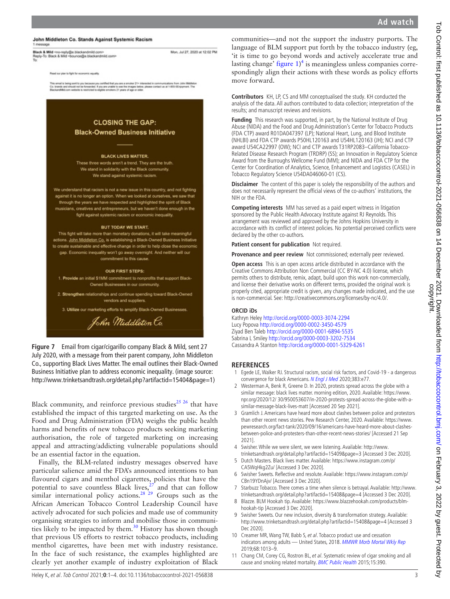#### John Middleton Co. Stands Against Systemic Racism

**Black & Mild** <no-reply@e.blackandmild.com><br>Reply-To: Black & Mild <br/> <br/> <br/> <br/> <br/>cbcunce@e.blackandmild.co Mon, Jul 27, 2020 at 12:02 PM

Read our plan to fight for economic equality

21+ interested in communications from<br>Libelow, please contact us at 1-855-5En all is being sent to you because you certified th<br>ds and should not be forwarded. If you are una



1. Provide an initial \$1MM commitment to nonprofits that support Black Owned Businesses in our community.

2. Strengthen relationships and continue spending toward Black-Owned vendors and suppliers.

3. Utilize our marketing efforts to amplify Black-Owned Businesses.



<span id="page-2-7"></span>**Figure 7** Email from cigar/cigarillo company Black & Mild, sent 27 July 2020, with a message from their parent company, John Middleton Co., supporting Black Lives Matter. The email outlines their Black-Owned Business Initiative plan to address economic inequality. (image source: <http://www.trinketsandtrash.org/detail.php?artifactid=15404&page=1>)

Black community, and reinforce previous studies<sup>25 26</sup> that have established the impact of this targeted marketing on use. As the Food and Drug Administration (FDA) weighs the public health harms and benefits of new tobacco products seeking marketing authorisation, the role of targeted marketing on increasing appeal and attracting/addicting vulnerable populations should be an essential factor in the equation.

Finally, the BLM-related industry messages observed have particular salience amid the FDA's announced intentions to ban flavoured cigars and menthol cigarettes, policies that have the potential to save countless Black lives, $2^7$  and that can follow similar international policy actions.<sup>[28 29](#page-3-8)</sup> Groups such as the African American Tobacco Control Leadership Council have actively advocated for such policies and made use of community organising strategies to inform and mobilise those in communities likely to be impacted by them.<sup>30</sup> History has shown though that previous US efforts to restrict tobacco products, including menthol cigarettes, have been met with industry resistance. In the face of such resistance, the examples highlighted are clearly yet another example of industry exploitation of Black

communities—and not the support the industry purports. The language of BLM support put forth by the tobacco industry (eg, 'it is time to go beyond words and actively accelerate true and lasting change' [figure](#page-0-0)  $1)^4$  $1)^4$  is meaningless unless companies correspondingly align their actions with these words as policy efforts move forward.

**Contributors** KH, LP, CS and MM conceptualised the study. KH conducted the analysis of the data. All authors contributed to data collection; interpretation of the results; and manuscript reviews and revisions.

**Funding** This research was supported, in part, by the National Institute of Drug Abuse (NIDA) and the Food and Drug Administration's Center for Tobacco Products (FDA CTP) award R01DA047397 (LP); National Heart, Lung, and Blood Institute (NHLBI) and FDA CTP awards P50HL120163 and U54HL120163 (JH); NCI and CTP award U54CA22997 (OW); NCI and CTP awards T31RP2083–California Tobacco-Related Disease Research Program (TRDRP) (SS); an Innovation in Regulatory Science Award from the Burroughs Wellcome Fund (MM); and NIDA and FDA CTP for the Center for Coordination of Analytics, Science, Enhancement and Logistics (CASEL) in Tobacco Regulatory Science U54DA046060-01 (CS).

**Disclaimer** The content of this paper is solely the responsibility of the authors and does not necessarily represent the official views of the co-authors' institutions, the NIH or the FDA.

**Competing interests** MM has served as a paid expert witness in litigation sponsored by the Public Health Advocacy Institute against RJ Reynolds. This arrangement was reviewed and approved by the Johns Hopkins University in accordance with its conflict of interest policies. No potential perceived conflicts were declared by the other co-authors.

**Patient consent for publication** Not required.

**Provenance and peer review** Not commissioned; externally peer reviewed.

**Open access** This is an open access article distributed in accordance with the Creative Commons Attribution Non Commercial (CC BY-NC 4.0) license, which permits others to distribute, remix, adapt, build upon this work non-commercially, and license their derivative works on different terms, provided the original work is properly cited, appropriate credit is given, any changes made indicated, and the use is non-commercial. See: [http://creativecommons.org/licenses/by-nc/4.0/.](http://creativecommons.org/licenses/by-nc/4.0/)

#### **ORCID iDs**

Kathryn Heley <http://orcid.org/0000-0003-3074-2294> Lucy Popova<http://orcid.org/0000-0002-3450-4579> Ziyad Ben Taleb<http://orcid.org/0000-0001-6894-5535> Sabrina L Smiley <http://orcid.org/0000-0003-3202-7534> Cassandra A Stanton<http://orcid.org/0000-0001-5329-6261>

#### **REFERENCES**

- <span id="page-2-0"></span>1 Egede LE, Walker RJ. Structural racism, social risk factors, and Covid-19 - a dangerous convergence for black Americans. [N Engl J Med](http://dx.doi.org/10.1056/NEJMp2023616) 2020;383:e77.
- <span id="page-2-1"></span>2 Westerman A, Benk R, Greene D. In 2020, protests spread across the globe with a similar message: black lives matter. morning edition, 2020. Available: [https://www.](https://www.npr.org/2020/12/%2030/950053607/in-2020-protests-spread-across-the-globe-with-a-similar-message-black-lives-matt) [npr.org/2020/12/ 30/950053607/in-2020-protests-spread-across-the-globe-with-a](https://www.npr.org/2020/12/%2030/950053607/in-2020-protests-spread-across-the-globe-with-a-similar-message-black-lives-matt)[similar-message-black-lives-matt](https://www.npr.org/2020/12/%2030/950053607/in-2020-protests-spread-across-the-globe-with-a-similar-message-black-lives-matt) [Accessed 20 Sep 2021].
- <span id="page-2-2"></span>3 Gramlich J. Americans have heard more about clashes between police and protestors than other recent news stories. Pew Research Center, 2020. Available: [https://www.](https://www.pewresearch.org/fact-tank/2020/09/16/americans-have-heard-more-about-clashes-between-police-and-protesters-than-other-recent-news-stories/) [pewresearch.org/fact-tank/2020/09/16/americans-have-heard-more-about-clashes](https://www.pewresearch.org/fact-tank/2020/09/16/americans-have-heard-more-about-clashes-between-police-and-protesters-than-other-recent-news-stories/)[between-police-and-protesters-than-other-recent-news-stories/](https://www.pewresearch.org/fact-tank/2020/09/16/americans-have-heard-more-about-clashes-between-police-and-protesters-than-other-recent-news-stories/) [Accessed 21 Sep 2021].
- <span id="page-2-3"></span>4 Swisher. While we were silent, we were listening. Available: [http://www.](http://www.trinketsandtrash.org/detail.php?artifactid=15409&page=3) [trinketsandtrash.org/detail.php?artifactid=15409&page=3](http://www.trinketsandtrash.org/detail.php?artifactid=15409&page=3) [Accessed 3 Dec 2020].
- 5 Dutch Masters. Black lives matter. Available: [https://www.instagram.com/p/](https://www.instagram.com/p/CA5WqHkg2Zu/) [CA5WqHkg2Zu/](https://www.instagram.com/p/CA5WqHkg2Zu/) [Accessed 3 Dec 2020].
- 6 Swisher Sweets. Reflective and resolute. Available: [https://www.instagram.com/p/](https://www.instagram.com/p/CBn19YDnAjv/) [CBn19YDnAjv/](https://www.instagram.com/p/CBn19YDnAjv/) [Accessed 3 Dec 2020].
- 7 Starbuzz Tobacco. There comes a time when silence is betrayal. Available: [http://www.](http://www.trinketsandtrash.org/detail.php?artifactid=15408&page=4) [trinketsandtrash.org/detail.php?artifactid=15408&page=4](http://www.trinketsandtrash.org/detail.php?artifactid=15408&page=4) [Accessed 3 Dec 2020].
- <span id="page-2-4"></span>8 Blazze. BLM Hookah tip. Available: [https://www.blazzehookah.com/products/blm](https://www.blazzehookah.com/products/blm-hookah-tip)[hookah-tip](https://www.blazzehookah.com/products/blm-hookah-tip) [Accessed 3 Dec 2020].
- <span id="page-2-5"></span>9 Swisher Sweets. Our new inclusion, diversity & transformation strategy. Available: <http://www.trinketsandtrash.org/detail.php?artifactid=15408&page=4>[Accessed 3 Dec 2020].
- <span id="page-2-6"></span>10 Creamer MR, Wang TW, Babb S, et al. Tobacco product use and cessation indicators among adults - United States, 2018. [MMWR Morb Mortal Wkly Rep](http://dx.doi.org/10.15585/mmwr.mm6845a2) 2019;68:1013–9.
- 11 Chang CM, Corey CG, Rostron BL, et al. Systematic review of cigar smoking and all cause and smoking related mortality. [BMC Public Health](http://dx.doi.org/10.1186/s12889-015-1617-5) 2015;15:390.